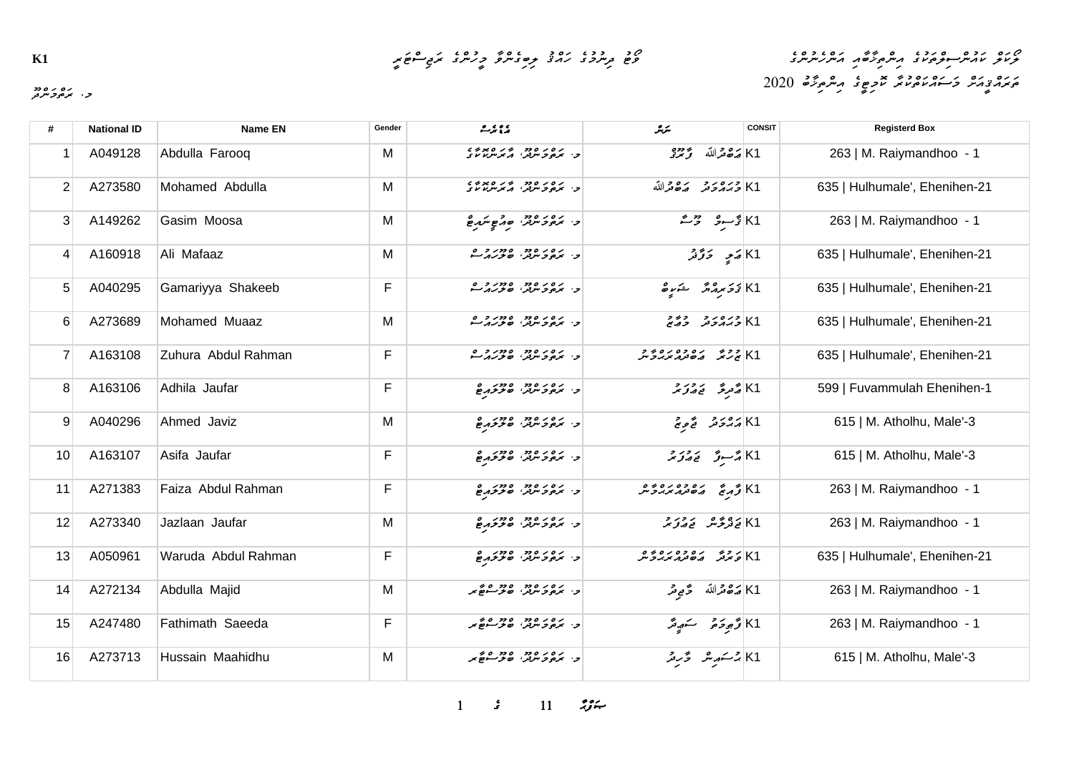*sCw7q7s5w7m< o<n9nOoAw7o< sCq;mAwBoEw7q<m; wBm;vB 2020*<br>*په پوهر وسوډيرونو لومو د موجو د مرمونه* 2020

*r@way*<br>ح. برجوح سرقر

| #               | <b>National ID</b> | <b>Name EN</b>      | Gender      | ړ؛ پرُ _                                                                                                                                                                                                                        | سرپر                                      | <b>CONSIT</b> | <b>Registerd Box</b>          |
|-----------------|--------------------|---------------------|-------------|---------------------------------------------------------------------------------------------------------------------------------------------------------------------------------------------------------------------------------|-------------------------------------------|---------------|-------------------------------|
|                 | A049128            | Abdulla Farooq      | M           | כי מסכמים מיט מיט מיט ו                                                                                                                                                                                                         | K1 مَەھىراللە ئ <sup>ەدە</sup> د          |               | 263   M. Raiymandhoo - 1      |
| $\overline{2}$  | A273580            | Mohamed Abdulla     | M           | ני מקבר מנטיפים<br>כי מקבייטטי המייטטיב                                                                                                                                                                                         | K1 32005 مركز مركز الله                   |               | 635   Hulhumale', Ehenihen-21 |
| 3               | A149262            | Gasim Moosa         | M           | و مهود مردر مهرم مردم                                                                                                                                                                                                           | K1  تۇسىر <i>ى ئۇ</i> شە                  |               | 263   M. Raiymandhoo - 1      |
| $\vert 4 \vert$ | A160918            | Ali Mafaaz          | M           | כי מפכיתות ו פרגבים.<br>כי מפכיתות שי <i>כת</i> ה –                                                                                                                                                                             | K1  رَمِج    رَوَّثْر                     |               | 635   Hulhumale', Ehenihen-21 |
| 5               | A040295            | Gamariyya Shakeeb   | F           | د بره د ده ده در د ه<br>د برج د شهر مورد ک                                                                                                                                                                                      | K1 تۇخ <i>بىرە</i> ئ <sup>ۇ</sup> سىئەس ھ |               | 635   Hulhumale', Ehenihen-21 |
| 6               | A273689            | Mohamed Muaaz       | M           | כי מפכיתות ו פרגבים.<br>כי מפכיתות שי <i>כת</i> ה –                                                                                                                                                                             | K1 <i>בגמבית</i> כמיז                     |               | 635   Hulhumale', Ehenihen-21 |
| $\overline{7}$  | A163108            | Zuhura Abdul Rahman | F           | ני מים כי היינים כי היינים היינים היינים היינים היינים היינים היינים היינים היינים היינים היינים היינים היינים<br>היינים מינים לא מינים לא מינים לא מינים היינים היינים היינים היינים היינים היינים היינים היינים היינים היינים | K1 يوري <sub>مگ</sub> ورو <i>دو دي</i> ر  |               | 635   Hulhumale', Ehenihen-21 |
| 8               | A163106            | Adhila Jaufar       | F           | ק מסקס מחזק סירות המודעים המודעים המודעים המודעים המודעים המודעים המודעים המודעים המודעים המודעים היו המודעים<br>המודעים המודעים המודעים המודעים המודעים המודעים המודעים המודעים המודעים המודעים המודעים המודעים המודעים המודעי | K1 مَ <i>دْمِرتَى بِحَمْ</i> وَكَمْتَ     |               | 599   Fuvammulah Ehenihen-1   |
| 9               | A040296            | Ahmed Javiz         | M           | כי מפכיתות 'סיביבתים                                                                                                                                                                                                            | K1 كەبرى قىم قىم قى                       |               | 615   M. Atholhu, Male'-3     |
| 10              | A163107            | Asifa Jaufar        | F           | כי מפכיתת סיכון ס<br>כי מפכיתת שיכות                                                                                                                                                                                            | K1 م <i>ەرقە خەرى ب</i>                   |               | 615   M. Atholhu, Male'-3     |
| 11              | A271383            | Faiza Abdul Rahman  | $\mathsf F$ | כי מפכייטי שליכתים                                                                                                                                                                                                              | K1 ژَم» مەمەمەدە بول                      |               | 263   M. Raiymandhoo - 1      |
| 12              | A273340            | Jazlaan Jaufar      | M           | גם גם ככל סבל גם<br>כי <i>הפכ</i> יתה של <i>כ</i> תים                                                                                                                                                                           | K1 ئۇنۇش <i>نۆمۇت</i> ر                   |               | 263   M. Raiymandhoo - 1      |
| 13              | A050961            | Waruda Abdul Rahman | $\mathsf F$ | כי מפכיתות 'סיביבתים                                                                                                                                                                                                            | K1 د وو د ره وه ره وه و                   |               | 635   Hulhumale', Ehenihen-21 |
| 14              | A272134            | Abdulla Majid       | M           | ره ره ده مده مرضوع بر<br>د برو د سربر، صو سوغ بر                                                                                                                                                                                | K1 كەھەراللە گەم قر                       |               | 263   M. Raiymandhoo - 1      |
| 15              | A247480            | Fathimath Saeeda    | $\mathsf F$ | ره ره ده ه ده وه و د                                                                                                                                                                                                            | K1 وَّجِرَة حَصَّرٍ مَّذَ                 |               | 263   M. Raiymandhoo - 1      |
| 16              | A273713            | Hussain Maahidhu    | M           |                                                                                                                                                                                                                                 | K1 پر شهر شور محرباته                     |               | 615   M. Atholhu, Male'-3     |

*1 sC 11 nNw?mS*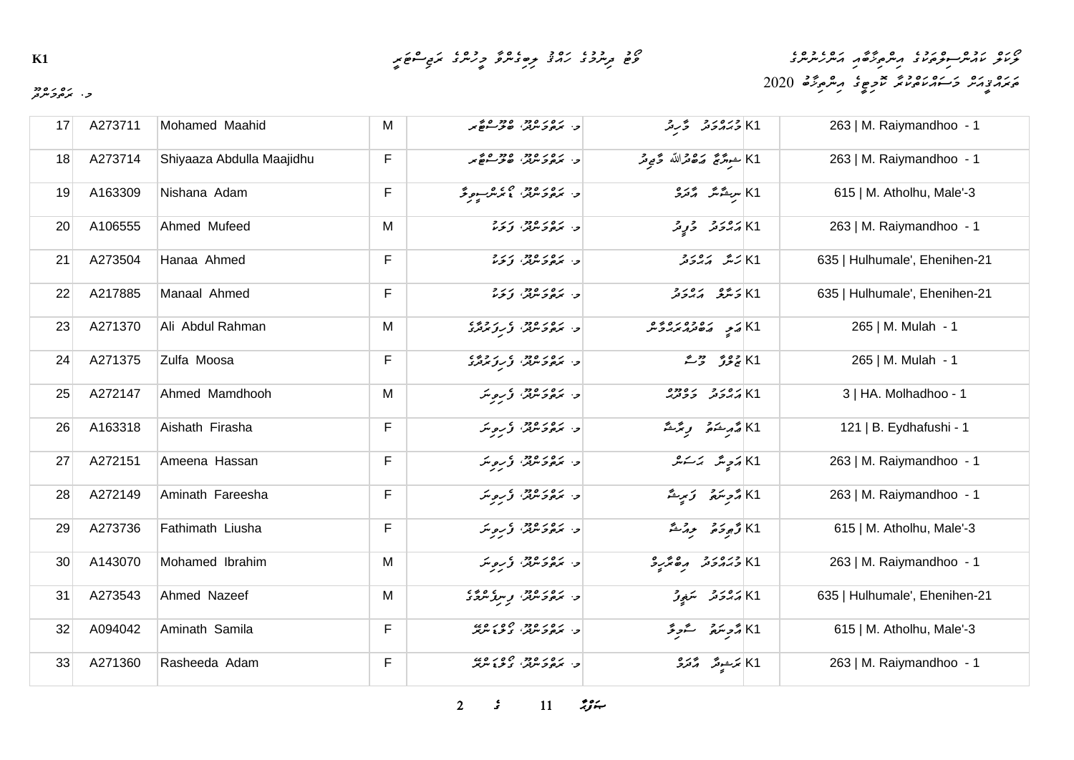*sCw7q7s5w7m< o<n9nOoAw7o< sCq;mAwBoEw7q<m; wBm;vB* م من المسجد المسجد المسجد المسجد المسجد العام 2020<br>مسجد المسجد المسجد المسجد المسجد المسجد المسجد المسجد المسجد ال

| 17 | A273711 | Mohamed Maahid            | M           | و نروز مربور ودو و پ                        | K1  <i>32,325 وُرِير</i> ُ                  | 263   M. Raiymandhoo - 1      |
|----|---------|---------------------------|-------------|---------------------------------------------|---------------------------------------------|-------------------------------|
| 18 | A273714 | Shiyaaza Abdulla Maajidhu | F           | و مرور ودو ودو ويم                          | K1 خەترىج كەھ قىراللە  گەبى قىر             | 263   M. Raiymandhoo - 1      |
| 19 | A163309 | Nishana Adam              | F           | د ۱۵۷۵ وو.<br>د برووس د کابرس دون           | K1 سريئرمئر گر <i>نو</i> گر                 | 615   M. Atholhu, Male'-3     |
| 20 | A106555 | Ahmed Mufeed              | M           | والممرة ومهمي وكرو                          | K1   <i>ړ برې</i> تر تو په تر               | 263   M. Raiymandhoo - 1      |
| 21 | A273504 | Hanaa Ahmed               | F           | والممرة ومهمل أوقرنا                        | K1 رَنَّزَ دَرْدَوْرَ                       | 635   Hulhumale', Ehenihen-21 |
| 22 | A217885 | Manaal Ahmed              | $\mathsf F$ | د. رود وده<br>د. برودسهر، زخر               | K1 كَرْمَرْتْزْ مْرْرَوْمْرْ                | 635   Hulhumale', Ehenihen-21 |
| 23 | A271370 | Ali Abdul Rahman          | M           | و نمود ود ورود و د                          | K1 <i>مَجِ مَـُ مَعْرَمُ بِرَ</i> دْدَ مَرْ | 265   M. Mulah - 1            |
| 24 | A271375 | Zulfa Moosa               | F           | و مره و دود و د و د و                       | .4 يُحْرُقُ بِسِمْ 2                        | 265   M. Mulah - 1            |
| 25 | A272147 | Ahmed Mamdhooh            | M           | والمتعرفة معروفي ومراقبه                    | K1 كەردە رەپىرە                             | 3   HA. Molhadhoo - 1         |
| 26 | A163318 | Aishath Firasha           | F           | و· بمكوف مرورة وكربوبتر                     | K1 \$يرِخَمْ وِبَرْخْ                       | 121   B. Eydhafushi - 1       |
| 27 | A272151 | Ameena Hassan             | F           | والمتهج والملامي وكرام لكل                  | K1 كەرپىگە كەسكىلى                          | 263   M. Raiymandhoo - 1      |
| 28 | A272149 | Aminath Fareesha          | F           | والممتزوجين وبروش                           | K1 مَّ حِ سَمَّى وَ مِرِ حَدَّ              | 263   M. Raiymandhoo - 1      |
| 29 | A273736 | Fathimath Liusha          | F           | والممده والمجمع والمراويتر                  | K1 وَجِوَدَةٌ مِهْرَشَّةٌ                   | 615   M. Atholhu, Male'-3     |
| 30 | A143070 | Mohamed Ibrahim           | M           | والممرة ومردود وكرام الكرا                  | K1 <i>جُهُدُدُو مُ</i> مِعْدِرِ وَ          | 263   M. Raiymandhoo - 1      |
| 31 | A273543 | Ahmed Nazeef              | M           | و مرود ودو وسرو وده                         | K1 كەرگە تىر سىنجو تىر                      | 635   Hulhumale', Ehenihen-21 |
| 32 | A094042 | Aminath Samila            | F           | ر ہ ر ہ دو۔ 2010 ہے۔<br>حسن میں جو جس کی مس | K1 مَّ حِ سَمَّ جَعَ مِ مَّ حَمَّةِ مَّ     | 615   M. Atholhu, Male'-3     |
| 33 | A271360 | Rasheeda Adam             | F           | رەرەپە 200 دەپر<br>د· برەۋسرېل دىروسرېر     | K1 ىَرَىشِيرَ مَرْتَزَرْ                    | 263   M. Raiymandhoo - 1      |

 $2$  *s* **11**  $29$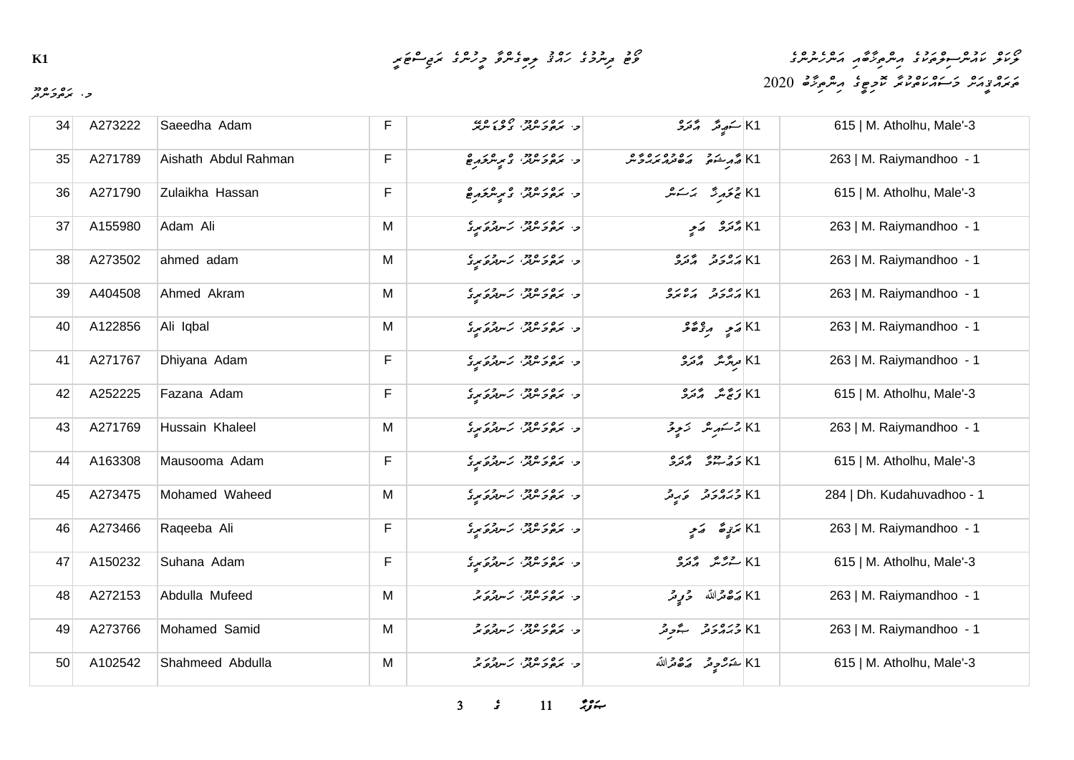*sCw7q7s5w7m< o<n9nOoAw7o< sCq;mAwBoEw7q<m; wBm;vB* م من المرة المرة المرة المرجع المرجع المرجع في 2020<br>مجم*د المريض المربوط المربع المرجع المرجع المراجع الم*رجع

| 34 | A273222 | Saeedha Adam         | F           | ק ומקסק ממקס.<br>קי ו <i>תחבריית</i> ואת צייב צ'יינואק |                                               | 615   M. Atholhu, Male'-3  |  |
|----|---------|----------------------|-------------|--------------------------------------------------------|-----------------------------------------------|----------------------------|--|
| 35 | A271789 | Aishath Abdul Rahman | $\mathsf F$ | والممتحد حدد المعامل والمحدود                          | K1 مەرخىس مەمەرەپ ھ                           | 263   M. Raiymandhoo - 1   |  |
| 36 | A271790 | Zulaikha Hassan      | $\mathsf F$ | والممردوح ومردوبه                                      | K1 ىج تخ <i>مې</i> ڭ - ئەستەنگر               | 615   M. Atholhu, Male'-3  |  |
| 37 | A155980 | Adam Ali             | M           | و مردود رسود و                                         | K1  مُرْتَرَى كَيْجِ                          | 263   M. Raiymandhoo - 1   |  |
| 38 | A273502 | ahmed adam           | M           | د. ده د ۱۵ ده.<br>د. مردوحسرفر، کسرفرومرد              | K1 كەبرۇتىر گەتىر <i>ى</i>                    | 263   M. Raiymandhoo - 1   |  |
| 39 | A404508 | Ahmed Akram          | M           | د ده د ه دو.<br>د : مردو سربر از سربرو مرد             | K1 كەبروتر كەندىدى                            | 263   M. Raiymandhoo - 1   |  |
| 40 | A122856 | Ali Iqbal            | M           | د ده د ه دو.<br>د : برود سربر، کسربرو برد              | K1 ڇَجِ پڻ گ                                  | 263   M. Raiymandhoo - 1   |  |
| 41 | A271767 | Dhiyana Adam         | $\mathsf F$ | د ده ده دو.<br>د مردوسهن کسهورم                        | K1 مِرمَّدَّ مُقَرَّدُ                        | 263   M. Raiymandhoo - 1   |  |
| 42 | A252225 | Fazana Adam          | $\mathsf F$ | والممهوم سرقرا المسرور المحمد                          | K1 زَیۡ شَرَ دَنَّرَدَ                        | 615   M. Atholhu, Male'-3  |  |
| 43 | A271769 | Hussain Khaleel      | M           | د ده د ه دو.<br>د : مردو سربر از سربرو مرد             | K1 پڑے پڑھ تر <i>چ</i> و                      | 263   M. Raiymandhoo - 1   |  |
| 44 | A163308 | Mausooma Adam        | $\mathsf F$ | و مره و دود که دور و                                   | K1 ئەھەسىتى ھەرە                              | 615   M. Atholhu, Male'-3  |  |
| 45 | A273475 | Mohamed Waheed       | M           | د ده د ه دو.<br>د : مردو سربر از سربرو مرد             | K1  <i>3223 قب</i> ر قر                       | 284   Dh. Kudahuvadhoo - 1 |  |
| 46 | A273466 | Raqeeba Ali          | F           | و مردود رسود و                                         | K1 يَمَتِ <sub>وَ</sub> حَ <sub>م</sub> َكِنٍ | 263   M. Raiymandhoo - 1   |  |
| 47 | A150232 | Suhana Adam          | F           | د. ده د ۱۵ ده.<br>د. مردوحسرفر، کسرفرومرد              | K1 شرشمہ مجم <i>دہ</i>                        | 615   M. Atholhu, Male'-3  |  |
| 48 | A272153 | Abdulla Mufeed       | M           | ر ه د ورو.<br>د - بروژ سربر، کسربرو بر                 | K1 كەھەراللە   ق. يەر                         | 263   M. Raiymandhoo - 1   |  |
| 49 | A273766 | Mohamed Samid        | M           | د ده د وده کرسهور د                                    | K1 <i>ڈیزوڈو جو</i> مر                        | 263   M. Raiymandhoo - 1   |  |
| 50 | A102542 | Shahmeed Abdulla     | M           | ر ه د ورو.<br>د - بروژ سربر، کسربرو بر                 | K1 خەرى <sub>چ</sub> ىر كەھەراللە             | 615   M. Atholhu, Male'-3  |  |

*3 sC 11 nNw?mS*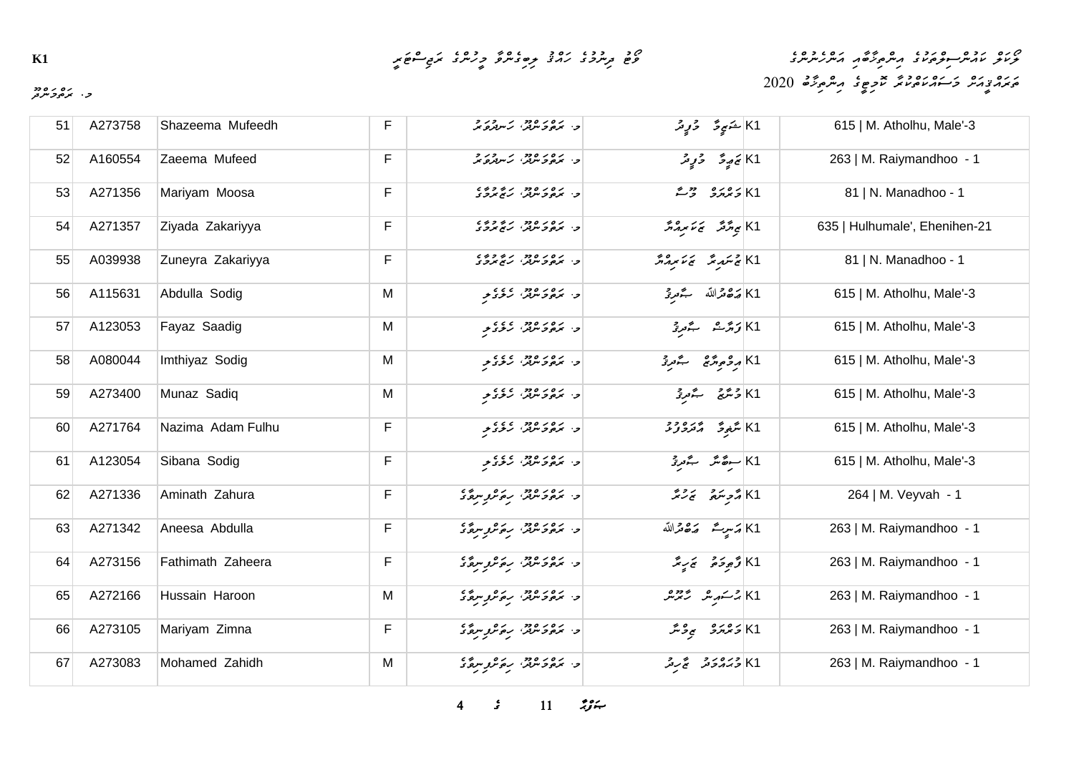*sCw7q7s5w7m< o<n9nOoAw7o< sCq;mAwBoEw7q<m; wBm;vB* م من المرة المرة المرة المرجع المرجع المرجع في 2020<br>مجم*د المريض المربوط المربع المرجع المرجع المراجع الم*رجع

| 51 | A273758 | Shazeema Mufeedh  | F | و مردوم دود. که در د                                        | K1  ڪن <sub>ي ج</sub> و گر <i>و</i> گر      | 615   M. Atholhu, Male'-3     |
|----|---------|-------------------|---|-------------------------------------------------------------|---------------------------------------------|-------------------------------|
| 52 | A160554 | Zaeema Mufeed     | F | و مرود ودو.<br>و مرود سرفر، کرس ور و                        | K1  ىم يەدىجە ئىتى ئىچە ئىرا ئىتىل          | 263   M. Raiymandhoo - 1      |
| 53 | A271356 | Mariyam Moosa     | F | ره رهبر در رو د ده<br>د کروه سرتن کریم مرد د                | K1 5 يوپريو وحيثه                           | 81   N. Manadhoo - 1          |
| 54 | A271357 | Ziyada Zakariyya  | F | ر ده د وود کرد و ده د                                       | K1 ىې مَرْتَرٌ ئ <i>ے ئا م</i> ېرمەمَرٌ     | 635   Hulhumale', Ehenihen-21 |
| 55 | A039938 | Zuneyra Zakariyya | F | ره رهبره در ره وه و<br>د - برووسربر - رنج برو و             | K1 ىن ئىرىدىگە ئى ئىر ئىرىدىگە              | 81   N. Manadhoo - 1          |
| 56 | A115631 | Abdulla Sodig     | M | در بره ده ده در در در در بر<br>  در برگورد مرکز برگور در بر | K1 رَحْمَّرْاللَّهُ بَدَّمَرَ <sub>كَ</sub> | 615   M. Atholhu, Male'-3     |
| 57 | A123053 | Fayaz Saadig      | M | د. نرودسوژ، روء و                                           | K1 توپژشہ گےموٹر                            | 615   M. Atholhu, Male'-3     |
| 58 | A080044 | Imthiyaz Sodig    | M | والممتوح للمعروض المتحوي للمحر                              | K1 موقومرچ جومرچ                            | 615   M. Atholhu, Male'-3     |
| 59 | A273400 | Munaz Sadiq       | M | و. نره و در ۲۵ وی و                                         | K1 دَىتَرَى جَسِرَتْر                       | 615   M. Atholhu, Male'-3     |
| 60 | A271764 | Nazima Adam Fulhu | F | والممتوح للمعروض المتحوي للمحر                              | K1 سَّمَىٰ 5 مَتَ <i>مَرْدُوْ</i> ئ         | 615   M. Atholhu, Male'-3     |
| 61 | A123054 | Sibana Sodig      | F | والممتوح سمائي المتحاويج                                    | K1 سوڭىگر گور <sub>چ</sub>                  | 615   M. Atholhu, Male'-3     |
| 62 | A271336 | Aminath Zahura    | F | و مەدەپ بەكتىر بىر                                          | K1 مَّحْرِسَمَّةَ بِحَرْسَمَّ               | 264   M. Veyvah - 1           |
| 63 | A271342 | Aneesa Abdulla    | F | و مره د ودو مرکز مرکز د                                     | K1 كەسمى <sup>ت</sup> كەھەتراللە            | 263   M. Raiymandhoo - 1      |
| 64 | A273156 | Fathimath Zaheera | F | و مره و دود.<br>د مره وسربر مره ترو سره د                   | K1 <i>وَّهوحَ</i> هُمَ تَمَرٍ يَرَ          | 263   M. Raiymandhoo - 1      |
| 65 | A272166 | Hussain Haroon    | M | و مەدەبىر بەرگەندىن بە                                      | K1 پرستمبر محمد محمد محمد الرحمن            | 263   M. Raiymandhoo - 1      |
| 66 | A273105 | Mariyam Zimna     | F | و مره د ود د مره مرون                                       | K1 كەبىر بىر ئەيدىگر                        | 263   M. Raiymandhoo - 1      |
| 67 | A273083 | Mohamed Zahidh    | M | و محوف الله محمود الله عليه الله عليه المحمد                | K1 <i>3223 - چريز</i>                       | 263   M. Raiymandhoo - 1      |

*4 sC 11 nNw?mS*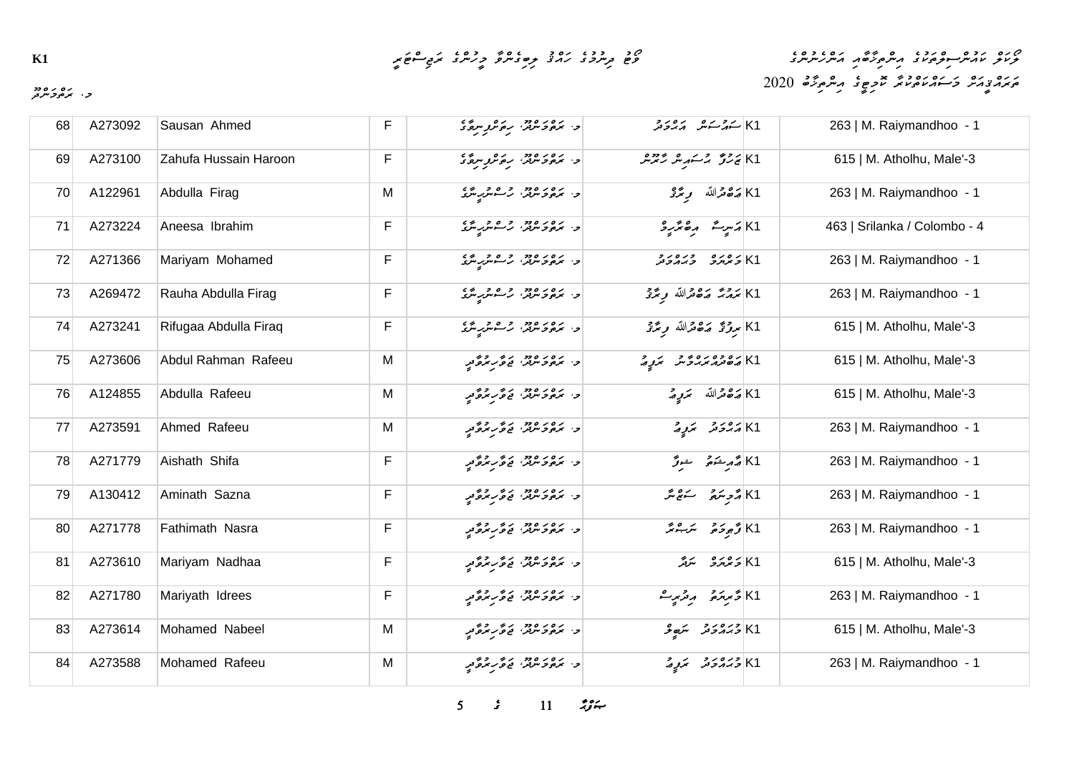*sCw7q7s5w7m< o<n9nOoAw7o< sCq;mAwBoEw7q<m; wBm;vB* م من المرة المرة المرة المرجع المرجع المرجع في 2020<br>مجم*د المريض المربوط المربع المرجع المرجع المراجع الم*رجع

| 68 | A273092 | Sausan Ahmed          | F           | و برە ئەرەد بەر ئورسۇن                                | K1 سَهْرَسَىشْ مَدْحَدَّر                              | 263   M. Raiymandhoo - 1     |
|----|---------|-----------------------|-------------|-------------------------------------------------------|--------------------------------------------------------|------------------------------|
| 69 | A273100 | Zahufa Hussain Haroon | F           | و مەدەبىر بەر بورسۇ                                   | K1 يَرْدُمُ بِرْسَهِ بِلَهِ رَّبْرِيْر                 | 615   M. Atholhu, Male'-3    |
| 70 | A122961 | Abdulla Firag         | M           | د ۱۵۷۵ وو. د ۵۵ و.<br>د غږود سربر، رگستربرسرو         | K1 كەھەراللە م <sub>و</sub> مگرىخ                      | 263   M. Raiymandhoo - 1     |
| 71 | A273224 | Aneesa Ibrahim        | $\mathsf F$ | و مرود مربو، در مرد مر                                | K1 كەسرىسە مەھەر دە                                    | 463   Srilanka / Colombo - 4 |
| 72 | A271366 | Mariyam Mohamed       | F           | د ۱۵۷۵ وو. د ۵۵ و.<br>د غږود سربر، رگستربرسرو         | K1 كەيمەدە مەرەبەد                                     | 263   M. Raiymandhoo - 1     |
| 73 | A269472 | Rauha Abdulla Firag   | F           | و مرود سربر، رقم در ده د                              | K1 <i>ىَدَمْ مَ</i> مُەھْمَراللە م <sub>و</sub> مَّدَة | 263   M. Raiymandhoo - 1     |
| 74 | A273241 | Rifugaa Abdulla Firaq | F           | د ۱۵۷۵ وو. د ۵۵ و.<br>د غږود سربر، رگستربرسرو         | K1 مروَّثَرَ مَ <b>صْمَ</b> رْاللَّهُ وَ مِدَّةِ       | 615   M. Atholhu, Male'-3    |
| 75 | A273606 | Abdul Rahman Rafeeu   | M           | و مردود د و د و و                                     | K1 <i>ړې ده ده وگړ</i> تر <i>و</i> ړ                   | 615   M. Atholhu, Male'-3    |
| 76 | A124855 | Abdulla Rafeeu        | M           | و مره د وه د د و و و و د                              | K1 كەھەراللە ك <i>ىرو</i> گە                           | 615   M. Atholhu, Male'-3    |
| 77 | A273591 | Ahmed Rafeeu          | M           | و مره ده ده د کار دو د                                | K1 كەش <sup>ى</sup> قىر كىلىمىتى ئىراپ                 | 263   M. Raiymandhoo - 1     |
| 78 | A271779 | Aishath Shifa         | $\mathsf F$ | و مره د وود د و د و و د و                             | K1 مَدْمِ حَسَنَ مَدِرَّ                               | 263   M. Raiymandhoo - 1     |
| 79 | A130412 | Aminath Sazna         | F           | و بره د وجود بر و د و د بر و د بر                     | K1 مُرْحِبَهُ مَعَ يَثْرُ                              | 263   M. Raiymandhoo - 1     |
| 80 | A271778 | Fathimath Nasra       | F           | و مره ده ده د کار وي.<br>و مردوسرفر فاقر مرکز         | K1 <i>وَّجوحَ</i> هُمَ سَرَسْمَتَر                     | 263   M. Raiymandhoo - 1     |
| 81 | A273610 | Mariyam Nadhaa        | F           | و مره و ودو د به در ور.<br>و مره و سربر انج فر مرفوتر | K1 كەبۇرگە سەبۇر                                       | 615   M. Atholhu, Male'-3    |
| 82 | A271780 | Mariyath Idrees       | F           | و مردود د ورود                                        | K1 <i>ڈیرمزم مرمز ہوتے</i>                             | 263   M. Raiymandhoo - 1     |
| 83 | A273614 | Mohamed Nabeel        | M           | و مره و دود د و د و و بر                              | K1  <i>وټرونو شوی</i>                                  | 615   M. Atholhu, Male'-3    |
| 84 | A273588 | Mohamed Rafeeu        | M           | و مرود مرود د و د و و د                               | K1  <i>3223 ټرو</i> ړ                                  | 263   M. Raiymandhoo - 1     |

 $5$   $5$   $11$   $79$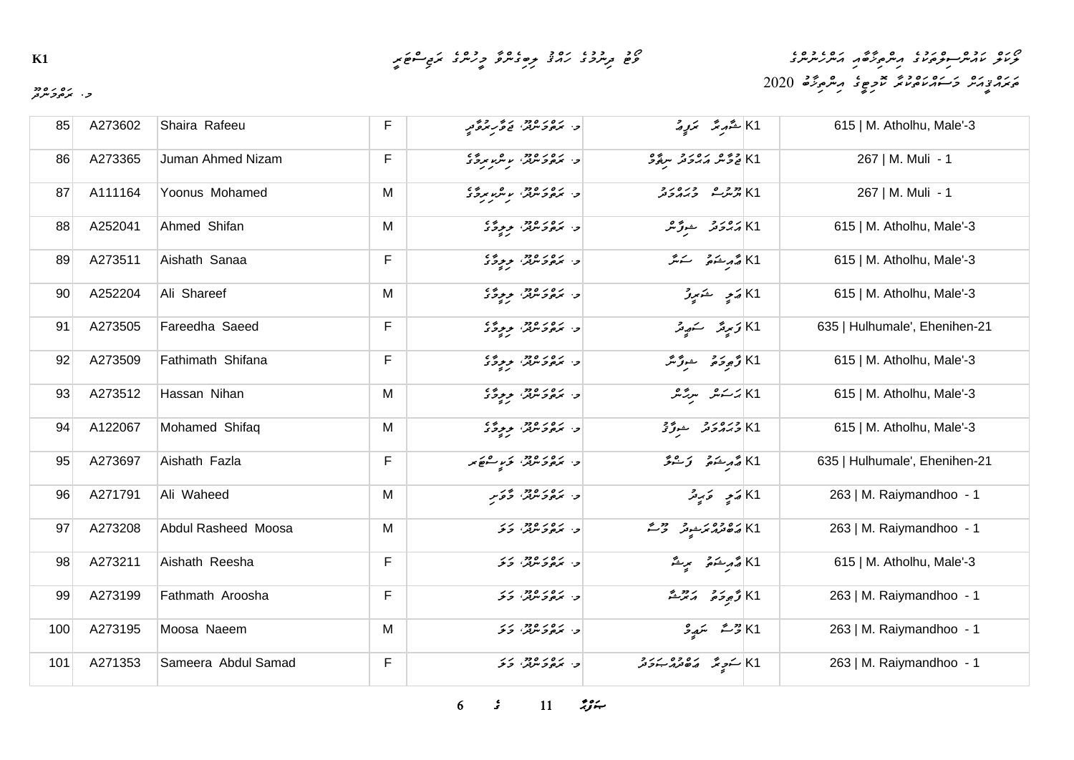*sCw7q7s5w7m< o<n9nOoAw7o< sCq;mAwBoEw7q<m; wBm;vB* م من المرة المرة المرة المرجع المرجع المرجع في 2020<br>مجم*د المريض المربوط المربع المرجع المرجع المراجع الم*رجع

| 85  | A273602 | Shaira Rafeeu       | F           | 9: مەھ دىكە ئەھرىر ئەر                                                                                         | K1 ڪمبر <i>تروپر</i>                    | 615   M. Atholhu, Male'-3     |
|-----|---------|---------------------|-------------|----------------------------------------------------------------------------------------------------------------|-----------------------------------------|-------------------------------|
| 86  | A273365 | Juman Ahmed Nizam   | F           | و مردود و ده ده                                                                                                |                                         | 267   M. Muli - 1             |
| 87  | A111164 | Yoonus Mohamed      | M           | و محمود موجود المستر محمد المحمد و المحمد المحمد و المحمد و المحمد المحمد المحمد المحمد المحمد المحمد المحمد ا | K1 ټرين وره دور                         | 267   M. Muli - 1             |
| 88  | A252041 | Ahmed Shifan        | M           | و رورود وود                                                                                                    | K1 <i>ډېر دی شوگ</i> ر                  | 615   M. Atholhu, Male'-3     |
| 89  | A273511 | Aishath Sanaa       | F           | و رورود. ووژ                                                                                                   | K1 مەم ھەتقىمى سىكىتىگە                 | 615   M. Atholhu, Male'-3     |
| 90  | A252204 | Ali Shareef         | M           | و نرەرەدە بېرگە                                                                                                | K1 کی پہ شمیرتی                         | 615   M. Atholhu, Male'-3     |
| 91  | A273505 | Fareedha Saeed      | F           | و نرەرەدە بېرگە                                                                                                | K1 ترىپەتر كىمپەتر                      | 635   Hulhumale', Ehenihen-21 |
| 92  | A273509 | Fathimath Shifana   | F           | د. برەدىن بېرگە                                                                                                | K1 <i>وَّج</i> وحَمَّ شِعْرَتَمَّ       | 615   M. Atholhu, Male'-3     |
| 93  | A273512 | Hassan Nihan        | M           | د برورود. ووژه                                                                                                 | K1 بَرَسَسْ سِرتَسْ                     | 615   M. Atholhu, Male'-3     |
| 94  | A122067 | Mohamed Shifaq      | M           | در ۱۵۷۵ و در در                                                                                                | K1 <i>دېزون</i> و سو <i>گ</i> و         | 615   M. Atholhu, Male'-3     |
| 95  | A273697 | Aishath Fazla       | $\mathsf F$ | والممروضين كالمستقص                                                                                            | K1 مَّ مِشَعْرِ كَرْشَوَّ               | 635   Hulhumale', Ehenihen-21 |
| 96  | A271791 | Ali Waheed          | M           | و مره د ود در د                                                                                                | K1  رَمِي - حَ پِيْرٌ                   | 263   M. Raiymandhoo - 1      |
| 97  | A273208 | Abdul Rasheed Moosa | M           | و. برەومەتەر كەت                                                                                               | K1 كەھەركە <i>كۈنىدىڭ ق<sup>ى</sup></i> | 263   M. Raiymandhoo - 1      |
| 98  | A273211 | Aishath Reesha      | F           | ره د ۵۶۵ کړې<br>د اعرون سرفل کرکړ                                                                              | K1 مُرمِشَعْر مَرِمَّةً                 | 615   M. Atholhu, Male'-3     |
| 99  | A273199 | Fathmath Aroosha    | F           | د. رەر ەدە رىر                                                                                                 | K1 وَّجِرَةَ مَرْشَدَّ                  | 263   M. Raiymandhoo - 1      |
| 100 | A273195 | Moosa Naeem         | M           | د بره د ود در<br>د برود برټر، وگ                                                                               | K1 تخریځ شمه څه                         | 263   M. Raiymandhoo - 1      |
| 101 | A271353 | Sameera Abdul Samad | F           | و. برەدىس كەن                                                                                                  | K1 خوپر مەھىرە بەر د                    | 263   M. Raiymandhoo - 1      |

*r@way*<br>ح. برجوح سرقر

 $6$   $3$   $11$   $29$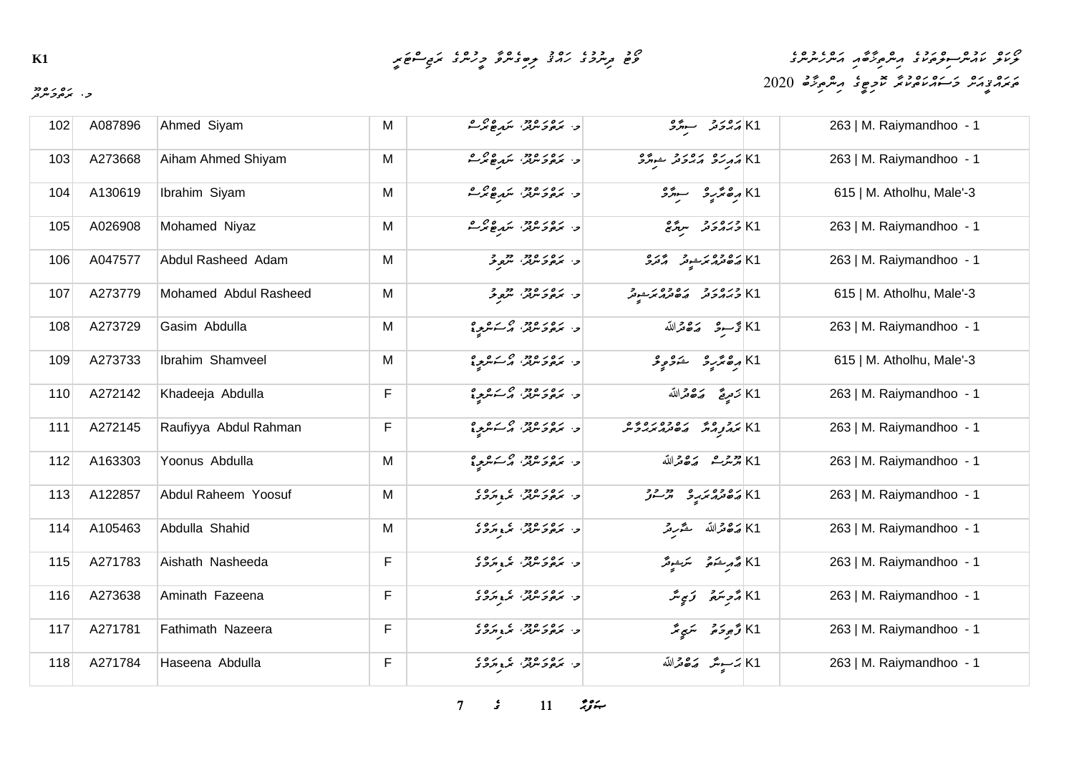*sCw7q7s5w7m< o<n9nOoAw7o< sCq;mAwBoEw7q<m; wBm;vB* م من المرة المرة المرة المرجع المرجع المرجع في 2020<br>مجم*د المريض المربوط المربع المرجع المرجع المراجع الم*رجع

| 102 | A087896 | Ahmed Siyam           | M | و برود ودو شهره مره                                                                                                                                                                                                             | K1 <i>252.5 بەيۋ</i>                                     | 263   M. Raiymandhoo - 1  |
|-----|---------|-----------------------|---|---------------------------------------------------------------------------------------------------------------------------------------------------------------------------------------------------------------------------------|----------------------------------------------------------|---------------------------|
| 103 | A273668 | Aiham Ahmed Shiyam    | M | و مردود شهره من و                                                                                                                                                                                                               | K1 <i>הֿה</i> ְיכ <i>ל הייכוּת בּית</i> ִיכ <sup>ּ</sup> | 263   M. Raiymandhoo - 1  |
| 104 | A130619 | Ibrahim Siyam         | M | و مردود شهره من و                                                                                                                                                                                                               | K1 مەھەر ئەردە سەردى                                     | 615   M. Atholhu, Male'-3 |
| 105 | A026908 | Mohamed Niyaz         | M | גם גם כפר הגם הם                                                                                                                                                                                                                | K1 دېرورو سرگړي                                          | 263   M. Raiymandhoo - 1  |
| 106 | A047577 | Abdul Rasheed Adam    | M | و. نرودسربي سرو د                                                                                                                                                                                                               | K1 كەھەركە <i>مۇھەر ئەت</i> رى                           | 263   M. Raiymandhoo - 1  |
| 107 | A273779 | Mohamed Abdul Rasheed | M | و. برودسرس شهرتر                                                                                                                                                                                                                | K1 دره در بره ده در پور                                  | 615   M. Atholhu, Male'-3 |
| 108 | A273729 | Gasim Abdulla         | M | و مردوده م کرده و                                                                                                                                                                                                               | K1 تَوْسِوْ <i>ةَ مَنْ</i> هُ مِّرَاللَّهُ               | 263   M. Raiymandhoo - 1  |
| 109 | A273733 | Ibrahim Shamveel      | M | و مهرومین کرک مروره                                                                                                                                                                                                             | K1 مەھەرىرى سەۋەپى                                       | 615   M. Atholhu, Male'-3 |
| 110 | A272142 | Khadeeja Abdulla      | F | و مرود مرد اسکورو                                                                                                                                                                                                               |                                                          | 263   M. Raiymandhoo - 1  |
| 111 | A272145 | Raufiyya Abdul Rahman | F | و مهرومین کرکروی                                                                                                                                                                                                                | K1 <i>بزو وه د ده ده بوه و م</i>                         | 263   M. Raiymandhoo - 1  |
| 112 | A163303 | Yoonus Abdulla        | M | و مهجو حرمود می کند و ه                                                                                                                                                                                                         | K1 بُرْتَرْتْ بَرَهْتْرَاللّه                            | 263   M. Raiymandhoo - 1  |
| 113 | A122857 | Abdul Raheem Yoosuf   | M | כי מפכיטת בר כבר בריים בריים בריים בריים בריים בריים בריים בריים בריים בריים בריים בריים בריים בריים בריים ברי<br>המודעים בריים בריים בריים בריים בריים בריים בריים בריים בריים בריים בריים בריים בריים בריים בריים בריים בריים | K1 كەھەممە بول مۇسىر                                     | 263   M. Raiymandhoo - 1  |
| 114 | A105463 | Abdulla Shahid        | M | כי מסגם כבי גם גם<br>כי מסבייטטי מגומכצ                                                                                                                                                                                         | K1 مَەھْتَراللە شەرىتر                                   | 263   M. Raiymandhoo - 1  |
| 115 | A271783 | Aishath Nasheeda      | F | و مردورود و ده و                                                                                                                                                                                                                | K1 مَ <i>ذْمِرْ حَدَّمْ - مَرَ</i> حْمِدَّرَّ            | 263   M. Raiymandhoo - 1  |
| 116 | A273638 | Aminath Fazeena       | F | و مره و ده دو د د ده و د                                                                                                                                                                                                        | K1 مَرْحِبَنَهُمْ وَمَوِيْرَ                             | 263   M. Raiymandhoo - 1  |
| 117 | A271781 | Fathimath Nazeera     | F | و مردورود و ده و                                                                                                                                                                                                                | K1 رَّجِوحَة مَسَى مَّدَ                                 | 263   M. Raiymandhoo - 1  |
| 118 | A271784 | Haseena Abdulla       | F | و مردورود و ده و                                                                                                                                                                                                                | K1 كەسپەنگر كەھەتراللە                                   | 263   M. Raiymandhoo - 1  |

*7 sC 11 nNw?mS*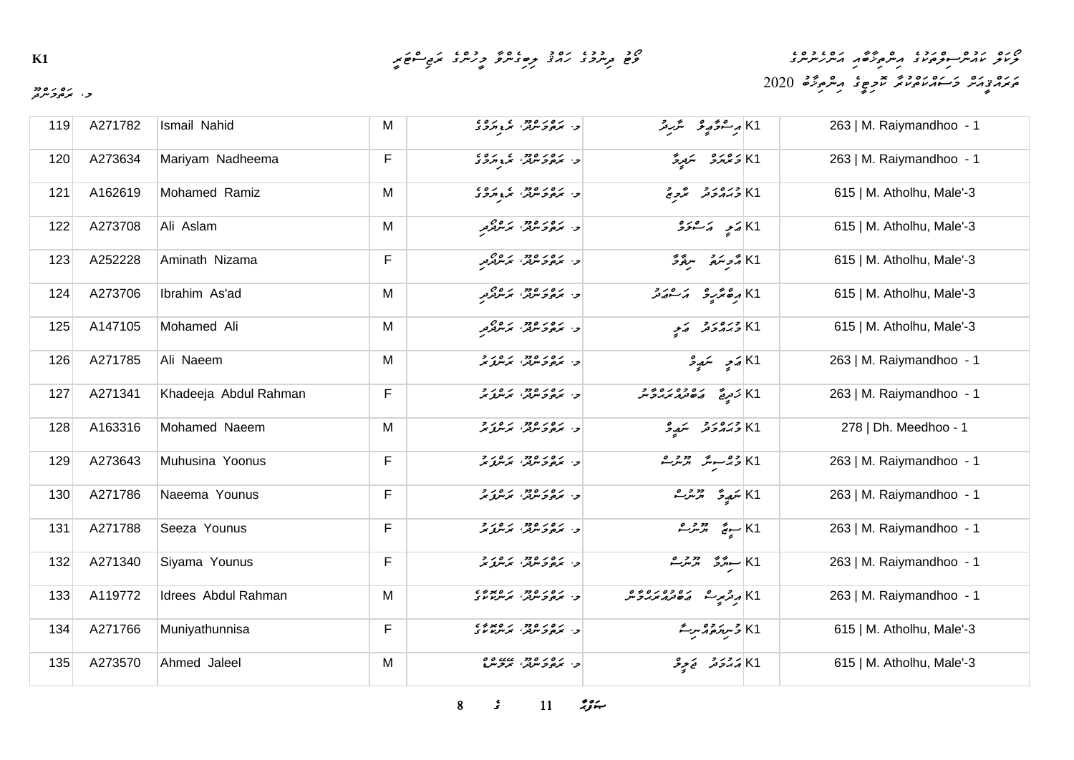*sCw7q7s5w7m< o<n9nOoAw7o< sCq;mAwBoEw7q<m; wBm;vB* م من المرة المرة المرة المرجع المرجع المرجع في 2020<br>مجم*د المريض المربوط المربع المرجع المرجع المراجع الم*رجع

| 119 | A271782 | <b>Ismail Nahid</b>   | M           | و مرود میں مرد دہ                                                                                                                                                                                                                | K1 م مەۋەپى ئىرىتى                              | 263   M. Raiymandhoo - 1  |
|-----|---------|-----------------------|-------------|----------------------------------------------------------------------------------------------------------------------------------------------------------------------------------------------------------------------------------|-------------------------------------------------|---------------------------|
| 120 | A273634 | Mariyam Nadheema      | F           | و مردورود و ده و                                                                                                                                                                                                                 | K1 <i>5 بُرْمَرْ \$سَمِير</i>                   | 263   M. Raiymandhoo - 1  |
| 121 | A162619 | Mohamed Ramiz         | M           | د ده د ه ده د ده ده ده د                                                                                                                                                                                                         | K1 <i>دېم دې پرې</i> ځ                          | 615   M. Atholhu, Male'-3 |
| 122 | A273708 | Ali Aslam             | M           | و مرود ده در وه.                                                                                                                                                                                                                 | K1 <i>چَرِ پَرَ جُوَ</i> وْ                     | 615   M. Atholhu, Male'-3 |
| 123 | A252228 | Aminath Nizama        | F           | و مردوده مروه.                                                                                                                                                                                                                   | K1 مُرْحِسَمُ مِنْدَّدَّ                        | 615   M. Atholhu, Male'-3 |
| 124 | A273706 | Ibrahim As'ad         | M           | و مردود مرده.                                                                                                                                                                                                                    | K1 مەھمگىيى ھىكىمىتىكىنى كىل                    | 615   M. Atholhu, Male'-3 |
| 125 | A147105 | Mohamed Ali           | M           | و مردوحی مردومی                                                                                                                                                                                                                  | K1  دېمگرونگر گ <i>ې</i> تو                     | 615   M. Atholhu, Male'-3 |
| 126 | A271785 | Ali Naeem             | M           | ر ہ ر وجود ہے کہ دیا۔<br>حسن مرکز مرکز کے مرکز مر                                                                                                                                                                                | K1 <i>مَجِ سَمِ</i> وڤ                          | 263   M. Raiymandhoo - 1  |
| 127 | A271341 | Khadeeja Abdul Rahman | F           | و مردورود برور و                                                                                                                                                                                                                 | K1 ژمرچ مەھىر <i>مەمەۋ</i> ىر                   | 263   M. Raiymandhoo - 1  |
| 128 | A163316 | Mohamed Naeem         | M           | ر ده در ودو.<br>د : برود سربر : برس و بر                                                                                                                                                                                         | K1  3223 كمبر محمد محمد الم                     | 278   Dh. Meedhoo - 1     |
| 129 | A273643 | Muhusina Yoonus       | $\mathsf F$ | د. بره د ۵۶۵ بر ۵ د و.<br>د. برج و سربر، برس و بر                                                                                                                                                                                | K1 دُير بِير پر بر بر                           | 263   M. Raiymandhoo - 1  |
| 130 | A271786 | Naeema Younus         | $\mathsf F$ | ر ہ ر وجود ہے کہ دیا۔<br>حسن مرکز مرکز کے مرکز مر                                                                                                                                                                                | K1 سَمِيعٌ مَرْسْرٌ —                           | 263   M. Raiymandhoo - 1  |
| 131 | A271788 | Seeza Younus          | $\mathsf F$ | د ده د وجود د و د و                                                                                                                                                                                                              | K1 ہے پر مقررے                                  | 263   M. Raiymandhoo - 1  |
| 132 | A271340 | Siyama Younus         | F           | ر ده در ودو.<br>د - مردو در سرگر مرسور مر                                                                                                                                                                                        | K1 سوټرنځ ټرتنرنگ                               | 263   M. Raiymandhoo - 1  |
| 133 | A119772 | Idrees Abdul Rahman   | M           | ני נוסנים מיני ניס מיניים ביו מיניים ומיניים ביו מיניים מיניים מיניים מיניים מיניים מיניים מיניים מיניים מיניי<br>מיניים מיניים מיניים מיניים מיניים מיניים מיניים מיניים מיניים מיניים מיניים מיניים מיניים מיניים מיניים מיניי | K1 <sub>م</sub> ېژبې <sup>ر م</sup> ەمەدە بەرەپ | 263   M. Raiymandhoo - 1  |
| 134 | A271766 | Muniyathunnisa        | $\mathsf F$ | ני מפרשות ממשים בין המידעים בין המודעים בין המודעים בין המודעים בין המודעים בין המודעים בין המודעים בין המודעי<br>המודעים בין מודעים בין מודעים מודעים בין מודעים בין מודעים בין מודעים בין המודעים בין המודעים בין המודעים בין  | K1 ۇس <i>رىزە ۋىب</i> رىگە                      | 615   M. Atholhu, Male'-3 |
| 135 | A273570 | Ahmed Jaleel          | M           | ره ره دود عدده ه<br>د کره د سربر، کر د سر                                                                                                                                                                                        | K1   كەش <sup>ى</sup> كەر قىم يولى              | 615   M. Atholhu, Male'-3 |

**8** *s* **11** *n***<sub>y</sub> <b>***n*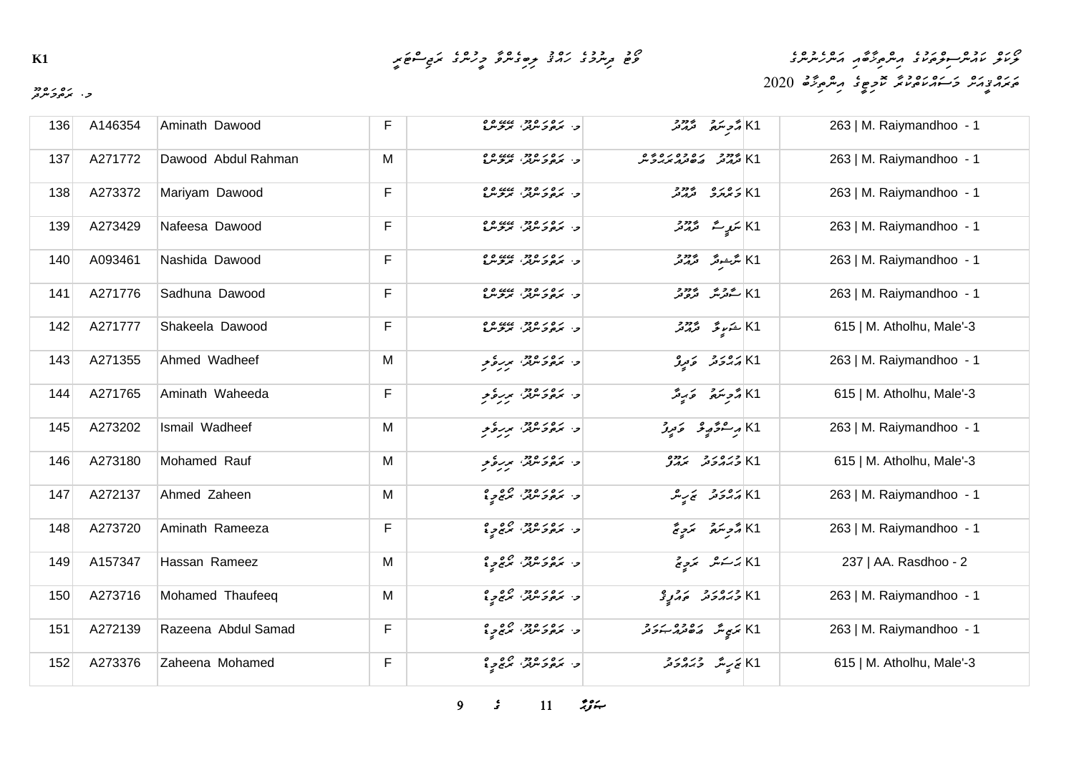*sCw7q7s5w7m< o<n9nOoAw7o< sCq;mAwBoEw7q<m; wBm;vB* م من المسجد المسجد المسجد المسجد المسجد العام 2020<br>مسجد المسجد المسجد المسجد المسجد المسجد المسجد المسجد المسجد ال

| 136 | A146354 | Aminath Dawood      | F            | ر ه د وده عدد و ه<br>د عردوسربر، مرکزس             | K1 مُجْرِسَهُ مُرَمَّدٌ              | 263   M. Raiymandhoo - 1  |
|-----|---------|---------------------|--------------|----------------------------------------------------|--------------------------------------|---------------------------|
| 137 | A271772 | Dawood Abdul Rahman | M            | ره د ۲۵ د دور د ۵۵ وه<br>د اندو د سربر اندو سره    | K1 ترود و بره وه بره و ه             | 263   M. Raiymandhoo - 1  |
| 138 | A273372 | Mariyam Dawood      | F            | ر ہ د ہ دو۔<br>حن مرد حر حرف مرمز سر ع             | K1 كەبرە ئەددە                       | 263   M. Raiymandhoo - 1  |
| 139 | A273429 | Nafeesa Dawood      | F            | ر ده د وجود در ده ده<br>د امروز سربر امریز سر      | K1 سَمَدٍ شَهُ مَرْسُرٌ مَنْ         | 263   M. Raiymandhoo - 1  |
| 140 | A093461 | Nashida Dawood      | F            | ر ده د ۶۶۵ ورو.<br>د - بروو سربر - بروس            | K1 مَّرْسُوتَرَ تَرْ <i>مَّرْ لا</i> | 263   M. Raiymandhoo - 1  |
| 141 | A271776 | Sadhuna Dawood      | $\mathsf{F}$ | ر ہ ر مجمد میں ماہ<br>حسن محروف موقع موقوم میں     | K1 گەترىگر گەد <i>ە</i> ر            | 263   M. Raiymandhoo - 1  |
| 142 | A271777 | Shakeela Dawood     | F            | ره ره دو.<br>د کرد و سربر، کرمز سرع                | K1 ڪرير قر <i>م</i> قر               | 615   M. Atholhu, Male'-3 |
| 143 | A271355 | Ahmed Wadheef       | M            | و مهود وده. مرزوم                                  | K1 كەش <sup>ى</sup> كەنگە قىلىنى ئىل | 263   M. Raiymandhoo - 1  |
| 144 | A271765 | Aminath Waheeda     | F            | د بره د ه ده.<br>  د بره د سربر، برر و د           | K1 مَّحِسَمَۃُ عَہِیمَّ              | 615   M. Atholhu, Male'-3 |
| 145 | A273202 | Ismail Wadheef      | M            | و. برە دەرە.<br> و. برە دىرى برىرە د               | K1 پرىدۇر ئى قەرىۋ                   | 263   M. Raiymandhoo - 1  |
| 146 | A273180 | Mohamed Rauf        | M            | و مردوده مرزوم                                     | K1 <i>32,022 بردوه</i>               | 615   M. Atholhu, Male'-3 |
| 147 | A272137 | Ahmed Zaheen        | M            |                                                    | K1 <i>ړېری تخ</i> رین                | 263   M. Raiymandhoo - 1  |
| 148 | A273720 | Aminath Rameeza     | $\mathsf F$  | ره ره ده ده مهم و ه<br>د - مردو مربر المريح و ٤    | K1 مَّ حِ سَمَعَ مَسَحِ مَّ          | 263   M. Raiymandhoo - 1  |
| 149 | A157347 | Hassan Rameez       | M            | و. بره د وده می ه ه                                | K1   يَرْسَعْتْرَ     يَرْحِي        | 237   AA. Rasdhoo - 2     |
| 150 | A273716 | Mohamed Thaufeeq    | M            | כי תפכיתות יותר כ                                  | K1 <i>ۋېزو دې موټرن</i> و تو         | 263   M. Raiymandhoo - 1  |
| 151 | A272139 | Razeena Abdul Samad | F            | و. بره د وده می ه و ه                              | K1 ئىي ئىر مەھ <i>ەرە بەرە</i>       | 263   M. Raiymandhoo - 1  |
| 152 | A273376 | Zaheena Mohamed     | F            | ر ه ر ه د مرد مرد و ه<br>د · مرد و سربر · مریح و ه | K1 ىَرِيسٌ ئ <i>ۇنەۋ</i> رۇ          | 615   M. Atholhu, Male'-3 |

*r@way*<br>ح. برجوح سرقر

*9 sC 11 nNw?mS*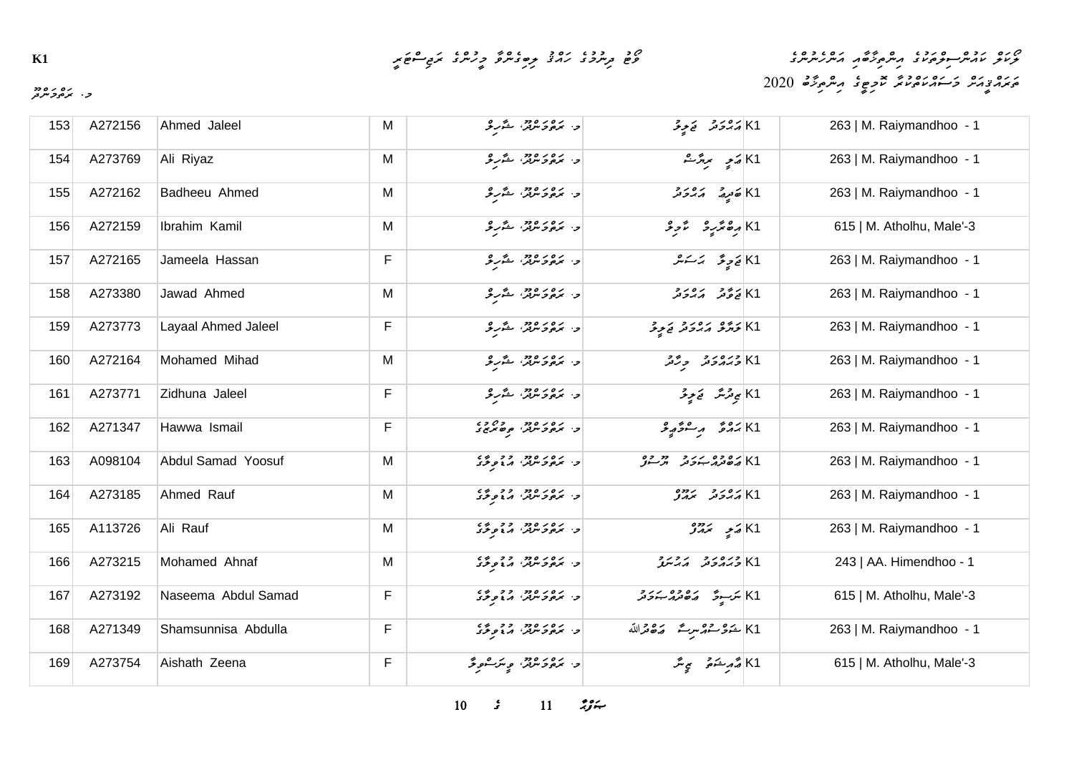*sCw7q7s5w7m< o<n9nOoAw7o< sCq;mAwBoEw7q<m; wBm;vB* م من المرة المرة المرة المرجع المرجع المرجع في 2020<br>مجم*د المريض المربوط المربع المرجع المرجع المراجع الم*رجع

| 153 | A272156 | Ahmed Jaleel        | M           | و برود وده څرنو                                                     | K1 كەردى قى يەتى                               | 263   M. Raiymandhoo - 1  |
|-----|---------|---------------------|-------------|---------------------------------------------------------------------|------------------------------------------------|---------------------------|
| 154 | A273769 | Ali Riyaz           | M           | و برەدە دەر شرقى                                                    | K1 رَمِ مِرمَّثَ                               | 263   M. Raiymandhoo - 1  |
| 155 | A272162 | Badheeu Ahmed       | M           | و برەد ەدە ئەربى                                                    | K1 ڪَٽِرِ پُهُ پُرُحَ تَرُ                     | 263   M. Raiymandhoo - 1  |
| 156 | A272159 | Ibrahim Kamil       | M           | و مەھ ئەسلار ئىس ئىس ئى                                             | K1 <sub>م</sub> ەترىپى ئ <sup>ى</sup> رى       | 615   M. Atholhu, Male'-3 |
| 157 | A272165 | Jameela Hassan      | F           | و برەدە دەر شرقى                                                    | K1 ق <sub>ے جو</sub> ی تر <i>سک</i> ش          | 263   M. Raiymandhoo - 1  |
| 158 | A273380 | Jawad Ahmed         | M           | و برەدە دەر شرقى                                                    | K1 يَے وَ پَهِ رَبِّ وَ بِرَ وَ بِرِ           | 263   M. Raiymandhoo - 1  |
| 159 | A273773 | Layaal Ahmed Jaleel | F           | و برەد ەدە ئەربى                                                    | K1 حَ <i>مَّرٌ \$ حَ</i> دَرَ مَى <i>حِ</i> حْ | 263   M. Raiymandhoo - 1  |
| 160 | A272164 | Mohamed Mihad       | M           | و برەدە دەر شرقى                                                    | K1 دُبَرْدْدَتْرَ بِرَرَّتْرَ                  | 263   M. Raiymandhoo - 1  |
| 161 | A273771 | Zidhuna Jaleel      | F           | و برەدىن ئەر                                                        | K1  ي <sub>م</sub> ِتْرْسَّرْ كَامِرِتْرْ      | 263   M. Raiymandhoo - 1  |
| 162 | A271347 | Hawwa Ismail        | $\mathsf F$ | د. بره بر ۵ وج و ۵ و د و<br>د. برجو د سربر، م <sub>و</sub> ه مربع و | K1 بَرْدُوَّ بِرِ مُؤْمِرُوْ                   | 263   M. Raiymandhoo - 1  |
| 163 | A098104 | Abdul Samad Yoosuf  | M           | د ده د ه دو د و و د و<br>د نموموس                                   | K1 رەپەر بەر بەر دەپرە                         | 263   M. Raiymandhoo - 1  |
| 164 | A273185 | Ahmed Rauf          | M           | د بره بره دو دو د ،<br>د برود سربل اړه ونځ                          | K1 كەمروم بەدە بەر                             | 263   M. Raiymandhoo - 1  |
| 165 | A113726 | Ali Rauf            | M           | د. بره د ورو و و د و.<br>د. برودس تر ارونوی                         | K1 <i>مَج بَرْدُوْ</i>                         | 263   M. Raiymandhoo - 1  |
| 166 | A273215 | Mohamed Ahnaf       | M           | د بره د ه دو د و د د د<br>د برود سربل اړولونو                       | K1 <i>جەمەدىرى كەيمى</i> تر                    | 243   AA. Himendhoo - 1   |
| 167 | A273192 | Naseema Abdul Samad | $\mathsf F$ | د ده د ه دو د و و د و<br>د نمود سربر اړولونو                        | K1 سَرَسِرَةُ صَرْحَةَ رَبِّرَةٍ               | 615   M. Atholhu, Male'-3 |
| 168 | A271349 | Shamsunnisa Abdulla | F           | د ده د ه دو د و و د و<br>د نموموس د د و و د                         | K1 خۇرخۇسرىگە كەھتراللە                        | 263   M. Raiymandhoo - 1  |
| 169 | A273754 | Aishath Zeena       | F           | و مەدرەدە پىرگەر                                                    | K1 مەرشىقى بىچىگە                              | 615   M. Atholhu, Male'-3 |

 $10$  *s*  $11$  *n***<sub>s</sub>** 

*r <i>r o v o v*<br>ح . *بر موج سر*م